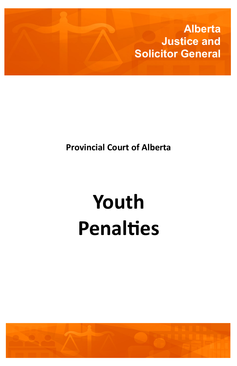**Alberta Justice and Solicitor General**

## **Provincial Court of Alberta**

# **Youth Penalties**

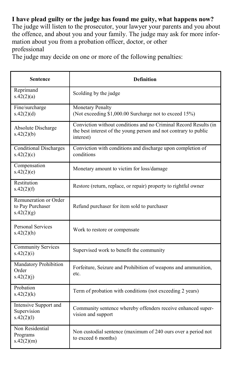#### **I have plead guilty or the judge has found me guity, what happens now?**

The judge will listen to the prosecutor, your lawyer your parents and you about the offence, and about you and your family. The judge may ask for more information about you from a probation officer, doctor, or other professional

The judge may decide on one or more of the following penalties:

| <b>Sentence</b>                                         | <b>Definition</b>                                                                                                                                 |
|---------------------------------------------------------|---------------------------------------------------------------------------------------------------------------------------------------------------|
| Reprimand<br>s.42(2)(a)                                 | Scolding by the judge                                                                                                                             |
| Fine/surcharge<br>s.42(2)(d)                            | <b>Monetary Penalty</b><br>(Not exceeding \$1,000.00 Surcharge not to exceed 15%)                                                                 |
| Absolute Discharge<br>s.42(2)(b)                        | Conviction without conditions and no Criminal Record Results (in<br>the best interest of the young person and not contrary to public<br>interest) |
| <b>Conditional Discharges</b><br>s.42(2)(c)             | Conviction with conditions and discharge upon completion of<br>conditions                                                                         |
| Compensation<br>s.42(2)(e)                              | Monetary amount to victim for loss/damage                                                                                                         |
| Restitution<br>s.42(2)(f)                               | Restore (return, replace, or repair) property to rightful owner                                                                                   |
| Remuneration or Order<br>to Pay Purchaser<br>s.42(2)(g) | Refund purchaser for item sold to purchaser                                                                                                       |
| <b>Personal Services</b><br>s.42(2)(h)                  | Work to restore or compensate                                                                                                                     |
| <b>Community Services</b><br>s.42(2)(i)                 | Supervised work to benefit the community                                                                                                          |
| Mandatory Prohibition<br>Order<br>s.42(2)(i)            | Forfeiture, Seizure and Prohibition of weapons and ammunition,<br>etc.                                                                            |
| Probation<br>s.42(2)(k)                                 | Term of probation with conditions (not exceeding 2 years)                                                                                         |
| Intensive Support and<br>Supervision<br>s.42(2)(1)      | Community sentence whereby offenders receive enhanced super-<br>vision and support                                                                |
| Non Residential<br>Programs<br>s.42(2)(m)               | Non custodial sentence (maximum of 240 ours over a period not<br>to exceed 6 months)                                                              |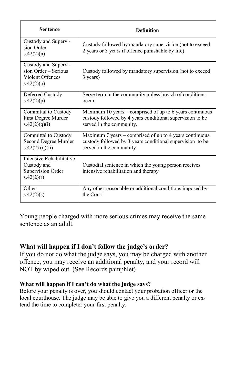| <b>Sentence</b>                                                                | <b>Definition</b>                                                                                             |
|--------------------------------------------------------------------------------|---------------------------------------------------------------------------------------------------------------|
| Custody and Supervi-<br>sion Order<br>s.42(2)(n)                               | Custody followed by mandatory supervision (not to exceed<br>2 years or 3 years if offence punishable by life) |
| Custody and Supervi-<br>sion Order - Serious<br>Violent Offences<br>s.42(2)(o) | Custody followed by mandatory supervision (not to exceed<br>3 years)                                          |
| Deferred Custody                                                               | Serve term in the community unless breach of conditions                                                       |
| s.42(2)(p)                                                                     | occur                                                                                                         |
| Committal to Custody                                                           | Maximum 10 years – comprised of up to 6 years continuous                                                      |
| First Degree Murder                                                            | custody followed by 4 years conditional supervision to be                                                     |
| s.42(2)(q)(i)                                                                  | served in the community.                                                                                      |
| Committal to Custody                                                           | Maximum 7 years – comprised of up to 4 years continuous                                                       |
| Second Degree Murder                                                           | custody followed by 3 years conditional supervision to be                                                     |
| $s.42(2)$ (q)(ii)                                                              | served in the community                                                                                       |
| Intensive Rehabilitative<br>Custody and<br>Supervision Order<br>s.42(2)(r)     | Custodial sentence in which the young person receives<br>intensive rehabilitation and therapy                 |
| Other                                                                          | Any other reasonable or additional conditions imposed by                                                      |
| s.42(2)(s)                                                                     | the Court                                                                                                     |

Young people charged with more serious crimes may receive the same sentence as an adult.

#### **What will happen if I don't follow the judge's order?**

If you do not do what the judge says, you may be charged with another offence, you may receive an additional penalty, and your record will NOT by wiped out. (See Records pamphlet)

#### **What will happen if I can't do what the judge says?**

Before your penalty is over, you should contact your probation officer or the local courthouse. The judge may be able to give you a different penalty or extend the time to completer your first penalty.